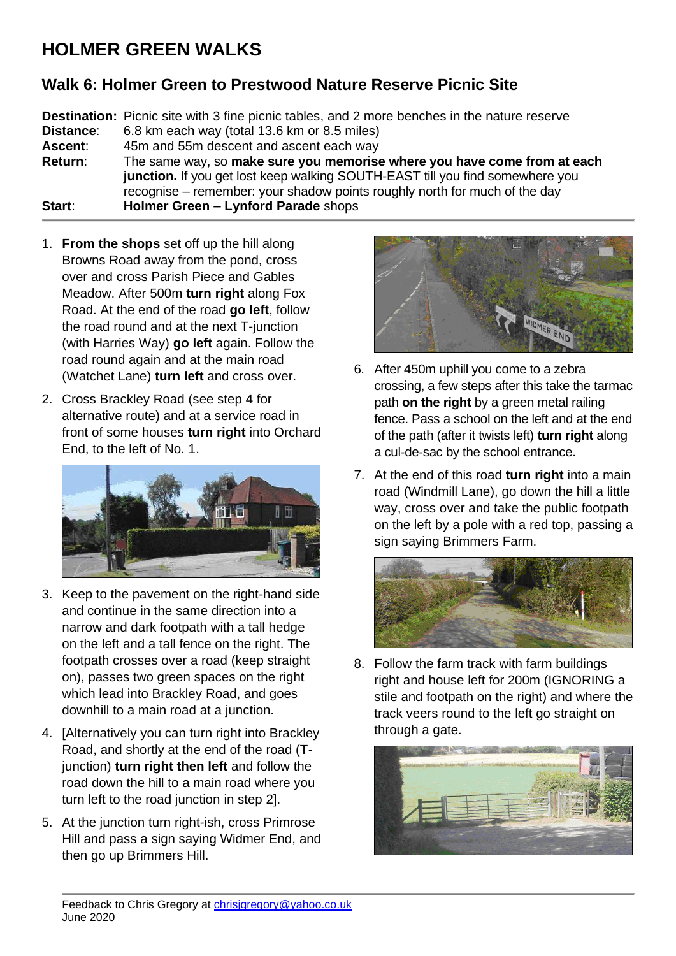## **HOLMER GREEN WALKS**

## **Walk 6: Holmer Green to Prestwood Nature Reserve Picnic Site**

**Destination:** Picnic site with 3 fine picnic tables, and 2 more benches in the nature reserve **Distance**: 6.8 km each way (total 13.6 km or 8.5 miles) **Ascent**: 45m and 55m descent and ascent each way **Return**: The same way, so **make sure you memorise where you have come from at each junction.** If you get lost keep walking SOUTH-EAST till you find somewhere you recognise – remember: your shadow points roughly north for much of the day **Start**: **Holmer Green** – **Lynford Parade** shops

- 1. **From the shops** set off up the hill along Browns Road away from the pond, cross over and cross Parish Piece and Gables Meadow. After 500m **turn right** along Fox Road. At the end of the road **go left**, follow the road round and at the next T-junction (with Harries Way) **go left** again. Follow the road round again and at the main road (Watchet Lane) **turn left** and cross over.
- 2. Cross Brackley Road (see step 4 for alternative route) and at a service road in front of some houses **turn right** into Orchard End, to the left of No. 1.



- 3. Keep to the pavement on the right-hand side and continue in the same direction into a narrow and dark footpath with a tall hedge on the left and a tall fence on the right. The footpath crosses over a road (keep straight on), passes two green spaces on the right which lead into Brackley Road, and goes downhill to a main road at a junction.
- 4. [Alternatively you can turn right into Brackley Road, and shortly at the end of the road (Tjunction) **turn right then left** and follow the road down the hill to a main road where you turn left to the road junction in step 2].
- 5. At the junction turn right-ish, cross Primrose Hill and pass a sign saying Widmer End, and then go up Brimmers Hill.



- 6. After 450m uphill you come to a zebra crossing, a few steps after this take the tarmac path **on the right** by a green metal railing fence. Pass a school on the left and at the end of the path (after it twists left) **turn right** along a cul-de-sac by the school entrance.
- 7. At the end of this road **turn right** into a main road (Windmill Lane), go down the hill a little way, cross over and take the public footpath on the left by a pole with a red top, passing a sign saying Brimmers Farm.



8. Follow the farm track with farm buildings right and house left for 200m (IGNORING a stile and footpath on the right) and where the track veers round to the left go straight on through a gate.